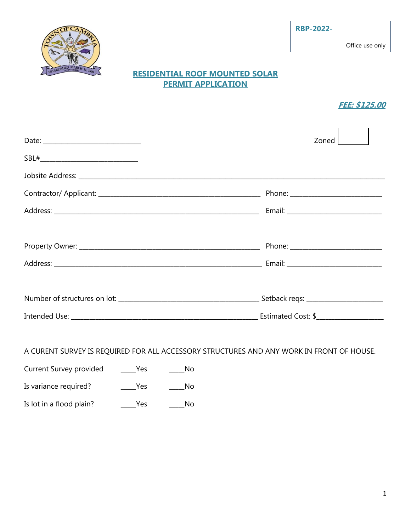## **RESIDENTIAL ROOF MOUNTED SOLAR PERMIT APPLICATION**

## **FEE: \$125.00**

| Zoned                                                                                                                                                                                                                          |  |
|--------------------------------------------------------------------------------------------------------------------------------------------------------------------------------------------------------------------------------|--|
|                                                                                                                                                                                                                                |  |
|                                                                                                                                                                                                                                |  |
| Phone: ____________________________                                                                                                                                                                                            |  |
|                                                                                                                                                                                                                                |  |
|                                                                                                                                                                                                                                |  |
|                                                                                                                                                                                                                                |  |
|                                                                                                                                                                                                                                |  |
|                                                                                                                                                                                                                                |  |
|                                                                                                                                                                                                                                |  |
| Intended Use: No. 2014 19:30 Section 2014 12:30 Section 2014 12:30 Section 2014 12:30 Section 2014 12:30 Section 2014 12:30 Section 2014 12:30 Section 2014 12:30 Section 2014 12:30 Section 2014 12:30 Section 2014 12:30 Sec |  |

## A CURENT SURVEY IS REQUIRED FOR ALL ACCESSORY STRUCTURES AND ANY WORK IN FRONT OF HOUSE.

| Current Survey provided | Yes | No. |
|-------------------------|-----|-----|
| Is variance required?   | Yes | No. |

Is lot in a flood plain? \_\_\_\_\_\_Yes \_\_\_\_\_\_\_No